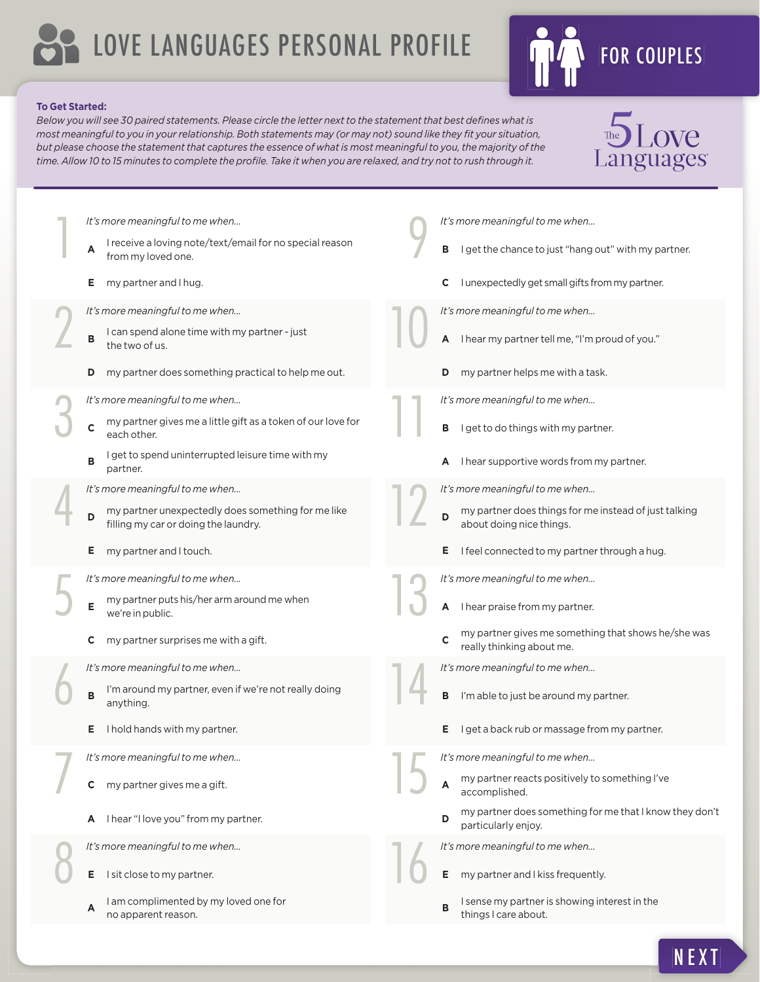# LOVE LANGUAGES PERSONAL PROFILE FOR COUPLES



#### **To Get Started:**

1

2

3

4

5

6

7

8

*It's more meaningful to me when…*

*It's more meaningful to me when…*

*It's more meaningful to me when…*

*It's more meaningful to me when…*

*It's more meaningful to me when…*

*It's more meaningful to me when…*

**E** I hold hands with my partner.

*It's more meaningful to me when…*

**A** I hear "I love you" from my partner.

**<sup>A</sup>** I am complimented by my loved one for

*It's more meaningful to me when…*

**E** I sit close to my partner.

no apparent reason.

**C** my partner gives me a gift.

**E** my partner and I touch.

we're in public.

anything.

from my loved one.

**E** my partner and I hug.

the two of us.

each other.

partner.

Below you will see 30 paired statements. Please circle the letter next to the statement that best defines what is *most meaningful to you in your relationship. Both statements may (or may not) sound like they fi t your situation, but please choose the statement that captures the essence of what is most meaningful to you, the majority of the time. Allow 10 to 15 minutes to complete the profi le. Take it when you are relaxed, and try not to rush through it.*



- 
- **B** I sense my partner is showing interest in the things I care about.

**<sup>A</sup>** I receive a loving note/text/email for no special reason **<sup>B</sup>** I can spend alone time with my partner - just **D** my partner does something practical to help me out. **<sup>C</sup>** my partner gives me a little gift as a token of our love for **B** I get to spend uninterrupted leisure time with my my partner unexpectedly does something for me like filling my car or doing the laundry. **<sup>E</sup>** my partner puts his/her arm around me when **C** my partner surprises me with a gift.

- **E** my partner and I kiss frequently.
- 

NEXT

It's more meaningful to me when...<br>**E** my partner and I kiss frequent